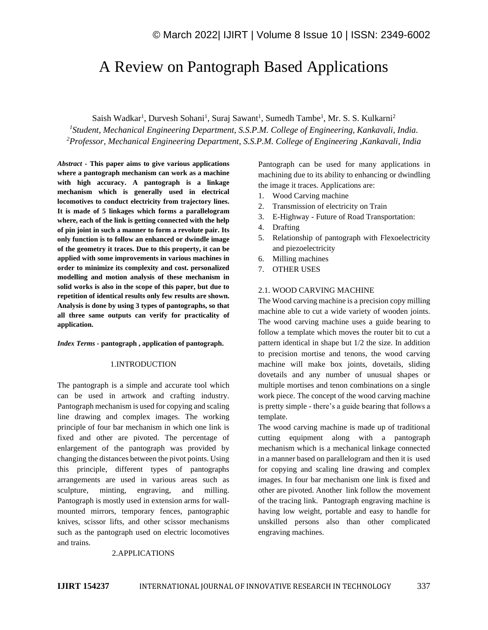# A Review on Pantograph Based Applications

Saish Wadkar<sup>1</sup>, Durvesh Sohani<sup>1</sup>, Suraj Sawant<sup>1</sup>, Sumedh Tambe<sup>1</sup>, Mr. S. S. Kulkarni<sup>2</sup> *1 Student, Mechanical Engineering Department, S.S.P.M. College of Engineering, Kankavali, India. <sup>2</sup>Professor, Mechanical Engineering Department, S.S.P.M. College of Engineering ,Kankavali, India*

*Abstract -* **This paper aims to give various applications where a pantograph mechanism can work as a machine with high accuracy. A pantograph is a linkage mechanism which is generally used in electrical locomotives to conduct electricity from trajectory lines. It is made of 5 linkages which forms a parallelogram where, each of the link is getting connected with the help of pin joint in such a manner to form a revolute pair. Its only function is to follow an enhanced or dwindle image of the geometry it traces. Due to this property, it can be applied with some improvements in various machines in order to minimize its complexity and cost. personalized modelling and motion analysis of these mechanism in solid works is also in the scope of this paper, but due to repetition of identical results only few results are shown. Analysis is done by using 3 types of pantographs, so that all three same outputs can verify for practicality of application.**

#### *Index Terms -* **pantograph , application of pantograph.**

## 1.INTRODUCTION

The pantograph is a simple and accurate tool which can be used in artwork and crafting industry. Pantograph mechanism is used for copying and scaling line drawing and complex images. The working principle of four bar mechanism in which one link is fixed and other are pivoted. The percentage of enlargement of the pantograph was provided by changing the distances between the pivot points. Using this principle, different types of pantographs arrangements are used in various areas such as sculpture, minting, engraving, and milling. Pantograph is mostly used in extension arms for wallmounted mirrors, temporary fences, pantographic knives, scissor lifts, and other scissor mechanisms such as the pantograph used on electric locomotives and trains.

## 2.APPLICATIONS

machining due to its ability to enhancing or dwindling the image it traces. Applications are: 1. Wood Carving machine

Pantograph can be used for many applications in

- 2. Transmission of electricity on Train
- 3. E-Highway Future of Road Transportation:
- 4. Drafting
- 5. Relationship of pantograph with Flexoelectricity and piezoelectricity
- 6. Milling machines
- 7. OTHER USES

## 2.1. WOOD CARVING MACHINE

The Wood carving machine is a precision copy milling machine able to cut a wide variety of wooden joints. The wood carving machine uses a guide bearing to follow a template which moves the router bit to cut a pattern identical in shape but 1/2 the size. In addition to precision mortise and tenons, the wood carving machine will make box joints, dovetails, sliding dovetails and any number of unusual shapes or multiple mortises and tenon combinations on a single work piece. The concept of the wood carving machine is pretty simple - there's a guide bearing that follows a template.

The wood carving machine is made up of traditional cutting equipment along with a pantograph mechanism which is a mechanical linkage connected in a manner based on parallelogram and then it is used for copying and scaling line drawing and complex images. In four bar mechanism one link is fixed and other are pivoted. Another link follow the movement of the tracing link. Pantograph engraving machine is having low weight, portable and easy to handle for unskilled persons also than other complicated engraving machines.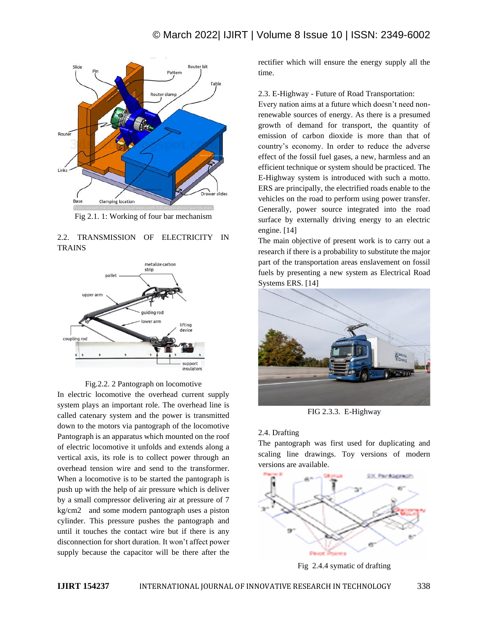

Fig 2.1. 1: Working of four bar mechanism

# 2.2. TRANSMISSION OF ELECTRICITY IN **TRAINS**





In electric locomotive the overhead current supply system plays an important role. The overhead line is called catenary system and the power is transmitted down to the motors via pantograph of the locomotive Pantograph is an apparatus which mounted on the roof of electric locomotive it unfolds and extends along a vertical axis, its role is to collect power through an overhead tension wire and send to the transformer. When a locomotive is to be started the pantograph is push up with the help of air pressure which is deliver by a small compressor delivering air at pressure of 7 kg/cm2 and some modern pantograph uses a piston cylinder. This pressure pushes the pantograph and until it touches the contact wire but if there is any disconnection for short duration. It won't affect power supply because the capacitor will be there after the

rectifier which will ensure the energy supply all the time.

2.3. E-Highway - Future of Road Transportation:

Every nation aims at a future which doesn't need nonrenewable sources of energy. As there is a presumed growth of demand for transport, the quantity of emission of carbon dioxide is more than that of country's economy. In order to reduce the adverse effect of the fossil fuel gases, a new, harmless and an efficient technique or system should be practiced. The E-Highway system is introduced with such a motto. ERS are principally, the electrified roads enable to the vehicles on the road to perform using power transfer. Generally, power source integrated into the road surface by externally driving energy to an electric engine. [14]

The main objective of present work is to carry out a research if there is a probability to substitute the major part of the transportation areas enslavement on fossil fuels by presenting a new system as Electrical Road Systems ERS. [14]



FIG 2.3.3. E-Highway

# 2.4. Drafting

The pantograph was first used for duplicating and scaling line drawings. Toy versions of modern versions are available.



Fig 2.4.4 symatic of drafting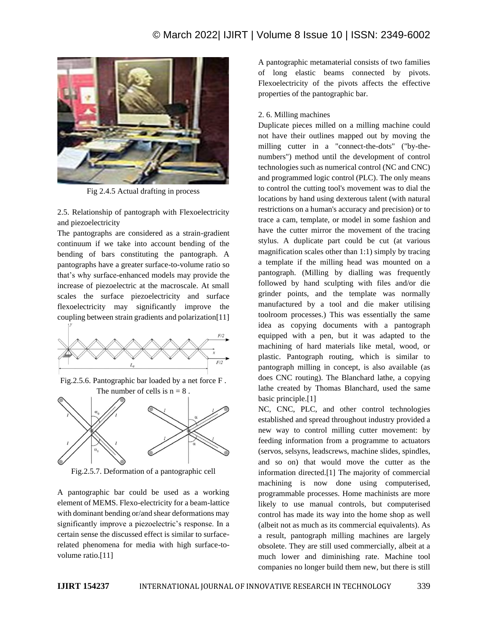

Fig 2.4.5 Actual drafting in process

2.5. Relationship of pantograph with Flexoelectricity and piezoelectricity

The pantographs are considered as a strain-gradient continuum if we take into account bending of the bending of bars constituting the pantograph. A pantographs have a greater surface-to-volume ratio so that's why surface-enhanced models may provide the increase of piezoelectric at the macroscale. At small scales the surface piezoelectricity and surface flexoelectricity may significantly improve the coupling between strain gradients and polarization[11]



Fig.2.5.6. Pantographic bar loaded by a net force F . The number of cells is  $n = 8$ .



Fig.2.5.7. Deformation of a pantographic cell

A pantographic bar could be used as a working element of MEMS. Flexo-electricity for a beam-lattice with dominant bending or/and shear deformations may significantly improve a piezoelectric's response. In a certain sense the discussed effect is similar to surfacerelated phenomena for media with high surface-tovolume ratio.[11]

A pantographic metamaterial consists of two families of long elastic beams connected by pivots. Flexoelectricity of the pivots affects the effective properties of the pantographic bar.

#### 2. 6. Milling machines

Duplicate pieces milled on a milling machine could not have their outlines mapped out by moving the milling cutter in a "connect-the-dots" ("by-thenumbers") method until the development of control technologies such as numerical control (NC and CNC) and programmed logic control (PLC). The only means to control the cutting tool's movement was to dial the locations by hand using dexterous talent (with natural restrictions on a human's accuracy and precision) or to trace a cam, template, or model in some fashion and have the cutter mirror the movement of the tracing stylus. A duplicate part could be cut (at various magnification scales other than 1:1) simply by tracing a template if the milling head was mounted on a pantograph. (Milling by dialling was frequently followed by hand sculpting with files and/or die grinder points, and the template was normally manufactured by a tool and die maker utilising toolroom processes.) This was essentially the same idea as copying documents with a pantograph equipped with a pen, but it was adapted to the machining of hard materials like metal, wood, or plastic. Pantograph routing, which is similar to pantograph milling in concept, is also available (as does CNC routing). The Blanchard lathe, a copying lathe created by Thomas Blanchard, used the same basic principle.[1]

NC, CNC, PLC, and other control technologies established and spread throughout industry provided a new way to control milling cutter movement: by feeding information from a programme to actuators (servos, selsyns, leadscrews, machine slides, spindles, and so on) that would move the cutter as the information directed.[1] The majority of commercial machining is now done using computerised, programmable processes. Home machinists are more likely to use manual controls, but computerised control has made its way into the home shop as well (albeit not as much as its commercial equivalents). As a result, pantograph milling machines are largely obsolete. They are still used commercially, albeit at a much lower and diminishing rate. Machine tool companies no longer build them new, but there is still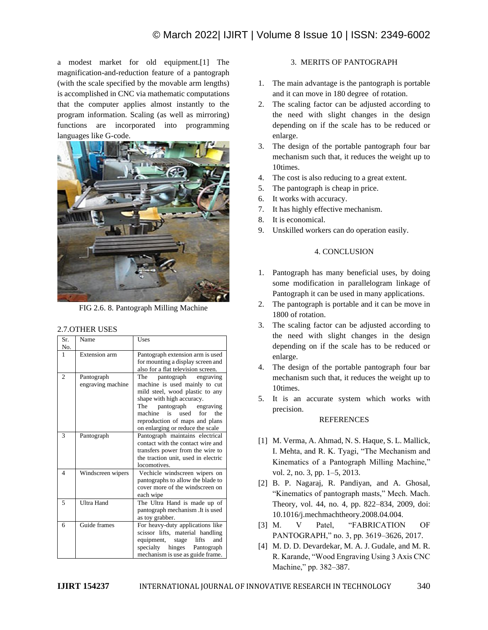a modest market for old equipment.[1] The magnification-and-reduction feature of a pantograph (with the scale specified by the movable arm lengths) is accomplished in CNC via mathematic computations that the computer applies almost instantly to the program information. Scaling (as well as mirroring) functions are incorporated into programming languages like G-code.



FIG 2.6. 8. Pantograph Milling Machine

## 2.7.OTHER USES

| Sr.            | Name                            | Uses                                                                                                                                                                                                                                                                        |
|----------------|---------------------------------|-----------------------------------------------------------------------------------------------------------------------------------------------------------------------------------------------------------------------------------------------------------------------------|
| No.            |                                 |                                                                                                                                                                                                                                                                             |
| 1              | <b>Extension</b> arm            | Pantograph extension arm is used<br>for mounting a display screen and<br>also for a flat television screen.                                                                                                                                                                 |
| $\overline{c}$ | Pantograph<br>engraving machine | The<br>pantograph engraving<br>machine is used mainly to cut<br>mild steel, wood plastic to any<br>shape with high accuracy.<br>pantograph<br>engraving<br>The<br>machine<br>is<br>for<br>the<br>used<br>reproduction of maps and plans<br>on enlarging or reduce the scale |
| 3              | Pantograph                      | Pantograph maintains electrical<br>contact with the contact wire and<br>transfers power from the wire to<br>the traction unit, used in electric<br>locomotives.                                                                                                             |
| $\Delta$       | Windscreen wipers               | Vechicle windscreen wipers on<br>pantographs to allow the blade to<br>cover more of the windscreen on<br>each wipe                                                                                                                                                          |
| 5              | <b>Ultra Hand</b>               | The Ultra Hand is made up of<br>pantograph mechanism. It is used<br>as toy grabber.                                                                                                                                                                                         |
| 6              | Guide frames                    | For heavy-duty applications like<br>scissor lifts, material handling<br>lifts<br>equipment,<br>and<br>stage<br>specialty<br>hinges Pantograph<br>mechanism is use as guide frame.                                                                                           |

# 3. MERITS OF PANTOGRAPH

- 1. The main advantage is the pantograph is portable and it can move in 180 degree of rotation.
- 2. The scaling factor can be adjusted according to the need with slight changes in the design depending on if the scale has to be reduced or enlarge.
- 3. The design of the portable pantograph four bar mechanism such that, it reduces the weight up to 10times.
- 4. The cost is also reducing to a great extent.
- 5. The pantograph is cheap in price.
- 6. It works with accuracy.
- 7. It has highly effective mechanism.
- 8. It is economical.
- 9. Unskilled workers can do operation easily.

## 4. CONCLUSION

- 1. Pantograph has many beneficial uses, by doing some modification in parallelogram linkage of Pantograph it can be used in many applications.
- 2. The pantograph is portable and it can be move in 1800 of rotation.
- 3. The scaling factor can be adjusted according to the need with slight changes in the design depending on if the scale has to be reduced or enlarge.
- 4. The design of the portable pantograph four bar mechanism such that, it reduces the weight up to 10times.
- 5. It is an accurate system which works with precision.

# REFERENCES

- [1] M. Verma, A. Ahmad, N. S. Haque, S. L. Mallick, I. Mehta, and R. K. Tyagi, "The Mechanism and Kinematics of a Pantograph Milling Machine," vol. 2, no. 3, pp. 1–5, 2013.
- [2] B. P. Nagaraj, R. Pandiyan, and A. Ghosal, "Kinematics of pantograph masts," Mech. Mach. Theory, vol. 44, no. 4, pp. 822–834, 2009, doi: 10.1016/j.mechmachtheory.2008.04.004.
- [3] M. V Patel, "FABRICATION OF PANTOGRAPH," no. 3, pp. 3619–3626, 2017.
- [4] M. D. D. Devardekar, M. A. J. Gudale, and M. R. R. Karande, "Wood Engraving Using 3 Axis CNC Machine," pp. 382–387.